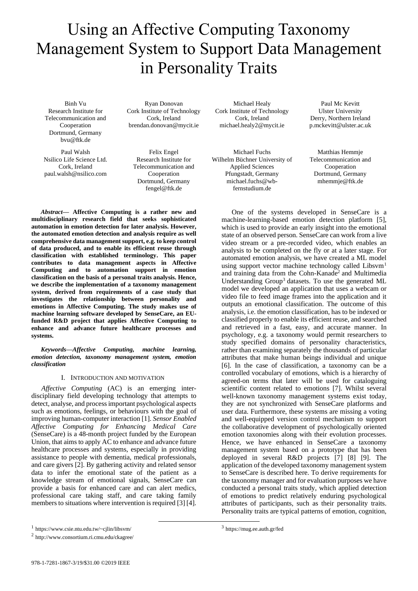# Using an Affective Computing Taxonomy Management System to Support Data Management in Personality Traits

Binh Vu Research Institute for Telecommunication and Cooperation Dortmund, Germany bvu@ftk.de

Paul Walsh Nsilico Life Science Ltd. Cork, Ireland paul.walsh@nsilico.com

Ryan Donovan Cork Institute of Technology Cork, Ireland brendan.donovan@mycit.ie

Felix Engel Research Institute for Telecommunication and Cooperation Dortmund, Germany fengel@ftk.de

Michael Healy Cork Institute of Technology Cork, Ireland michael.healy2@mycit.ie

Michael Fuchs Wilhelm Büchner University of Applied Sciences Pfungstadt, Germany michael.fuchs@wbfernstudium.de

Paul Mc Kevitt Ulster University Derry, Northern Ireland p.mckevitt@ulster.ac.uk

Matthias Hemmje Telecommunication and Cooperation Dortmund, Germany mhemmje@ftk.de

*Abstract***— Affective Computing is a rather new and multidisciplinary research field that seeks sophisticated automation in emotion detection for later analysis. However, the automated emotion detection and analysis require as well comprehensive data management support, e.g. to keep control of data produced, and to enable its efficient reuse through classification with established terminology. This paper contributes to data management aspects in Affective Computing and to automation support in emotion classification on the basis of a personal traits analysis. Hence, we describe the implementation of a taxonomy management system, derived from requirements of a case study that investigates the relationship between personality and emotions in Affective Computing. The study makes use of machine learning software developed by SenseCare, an EUfunded R&D project that applies Affective Computing to enhance and advance future healthcare processes and systems.**

*Keywords—Affective Computing, machine learning, emotion detection, taxonomy management system, emotion classification*

## I. INTRODUCTION AND MOTIVATION

*Affective Computing* (AC) is an emerging interdisciplinary field developing technology that attempts to detect, analyse, and process important psychological aspects such as emotions, feelings, or behaviours with the goal of improving human-computer interaction [1]. *Sensor Enabled Affective Computing for Enhancing Medical Care* (SenseCare) is a 48-month project funded by the European Union, that aims to apply AC to enhance and advance future healthcare processes and systems, especially in providing assistance to people with dementia, medical professionals, and care givers [2]. By gathering activity and related sensor data to infer the emotional state of the patient as a knowledge stream of emotional signals, SenseCare can provide a basis for enhanced care and can alert medics, professional care taking staff, and care taking family members to situations where intervention is required [3] [4].

2 http://www.consortium.ri.cmu.edu/ckagree/

machine-learning-based emotion detection platform [5], which is used to provide an early insight into the emotional state of an observed person. SenseCare can work from a live video stream or a pre-recorded video, which enables an analysis to be completed on the fly or at a later stage. For automated emotion analysis, we have created a ML model using support vector machine technology called  $Libsym<sup>1</sup>$ and training data from the Cohn-Kanade<sup>2</sup> and Multimedia Understanding Group<sup>3</sup> datasets. To use the generated ML model we developed an application that uses a webcam or video file to feed image frames into the application and it outputs an emotional classification. The outcome of this analysis, i.e. the emotion classification, has to be indexed or classified properly to enable its efficient reuse, and searched and retrieved in a fast, easy, and accurate manner. In psychology, e.g. a taxonomy would permit researchers to study specified domains of personality characteristics, rather than examining separately the thousands of particular attributes that make human beings individual and unique [6]. In the case of classification, a taxonomy can be a controlled vocabulary of emotions, which is a hierarchy of agreed-on terms that later will be used for cataloguing scientific content related to emotions [7]. Whilst several well-known taxonomy management systems exist today, they are not synchronized with SenseCare platforms and user data. Furthermore, these systems are missing a voting and well-equipped version control mechanism to support the collaborative development of psychologically oriented emotion taxonomies along with their evolution processes. Hence, we have enhanced in SenseCare a taxonomy management system based on a prototype that has been deployed in several R&D projects [7] [8] [9]. The application of the developed taxonomy management system to SenseCare is described here. To derive requirements for the taxonomy manager and for evaluation purposes we have conducted a personal traits study, which applied detection of emotions to predict relatively enduring psychological attributes of participants, such as their personality traits. Personality traits are typical patterns of emotion, cognition,

One of the systems developed in SenseCare is a

<sup>1</sup> https://www.csie.ntu.edu.tw/~cjlin/libsvm/

<sup>3</sup> https://mug.ee.auth.gr/fed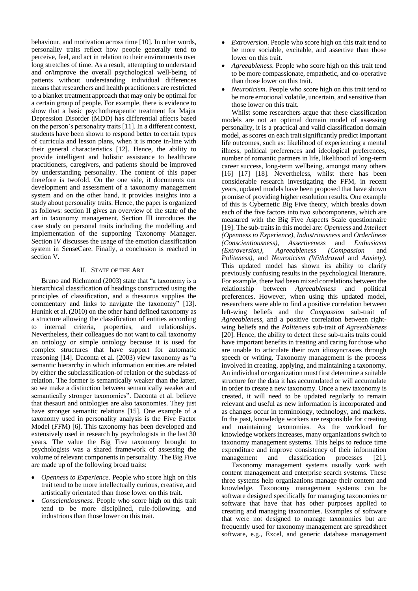behaviour, and motivation across time [10]. In other words, personality traits reflect how people generally tend to perceive, feel, and act in relation to their environments over long stretches of time. As a result, attempting to understand and or/improve the overall psychological well-being of patients without understanding individual differences means that researchers and health practitioners are restricted to a blanket treatment approach that may only be optimal for a certain group of people. For example, there is evidence to show that a basic psychotherapeutic treatment for Major Depression Disorder (MDD) has differential affects based on the person's personality traits [11]. In a different context, students have been shown to respond better to certain types of curricula and lesson plans, when it is more in-line with their general characteristics [12]. Hence, the ability to provide intelligent and holistic assistance to healthcare practitioners, caregivers, and patients should be improved by understanding personality. The content of this paper therefore is twofold. On the one side, it documents our development and assessment of a taxonomy management system and on the other hand, it provides insights into a study about personality traits. Hence, the paper is organized as follows: section II gives an overview of the state of the art in taxonomy management. Section III introduces the case study on personal traits including the modelling and implementation of the supporting Taxonomy Manager. Section IV discusses the usage of the emotion classification system in SenseCare. Finally, a conclusion is reached in section V.

#### II. STATE OF THE ART

Bruno and Richmond (2003) state that "a taxonomy is a hierarchical classification of headings constructed using the principles of classification, and a thesaurus supplies the commentary and links to navigate the taxonomy" [13]. Hunink et al. (2010) on the other hand defined taxonomy as a structure allowing the classification of entities according to internal criteria, properties, and relationships. Nevertheless, their colleagues do not want to call taxonomy an ontology or simple ontology because it is used for complex structures that have support for automatic reasoning [14]. Daconta et al. (2003) view taxonomy as "a semantic hierarchy in which information entities are related by either the subclassification-of relation or the subclass-of relation. The former is semantically weaker than the latter, so we make a distinction between semantically weaker and semantically stronger taxonomies". Daconta et al. believe that thesauri and ontologies are also taxonomies. They just have stronger semantic relations [15]. One example of a taxonomy used in personality analysis is the Five Factor Model (FFM) [6]. This taxonomy has been developed and extensively used in research by psychologists in the last 30 years. The value the Big Five taxonomy brought to psychologists was a shared framework of assessing the volume of relevant components in personality. The Big Five are made up of the following broad traits:

- *Openness to Experience.* People who score high on this trait tend to be more intellectually curious, creative, and artistically orientated than those lower on this trait.
- *Conscientiousness.* People who score high on this trait tend to be more disciplined, rule-following, and industrious than those lower on this trait.
- *Extroversion*. People who score high on this trait tend to be more sociable, excitable, and assertive than those lower on this trait.
- *Agreeableness*. People who score high on this trait tend to be more compassionate, empathetic, and co-operative than those lower on this trait.
- *Neuroticism*. People who score high on this trait tend to be more emotional volatile, uncertain, and sensitive than those lower on this trait.

Whilst some researchers argue that these classification models are not an optimal domain model of assessing personality, it is a practical and valid classification domain model, as scores on each trait significantly predict important life outcomes, such as: likelihood of experiencing a mental illness, political preferences and ideological preferences, number of romantic partners in life, likelihood of long-term career success, long-term wellbeing, amongst many others [16] [17] [18]. Nevertheless, whilst there has been considerable research investigating the FFM, in recent years, updated models have been proposed that have shown promise of providing higher resolution results. One example of this is Cybernetic Big Five theory, which breaks down each of the five factors into two subcomponents, which are measured with the Big Five Aspects Scale questionnaire [19]. The sub-traitsin this model are: *Openness* and *Intellect (Openness to Experience), Industriousness* and *Orderliness (Conscientiousness), Assertiveness* and *Enthusiasm (Extroversion), Agreeableness (Compassion* and *Politeness)*, and *Neuroticism (Withdrawal* and *Anxiety)*. This updated model has shown its ability to clarify previously confusing results in the psychological literature. For example, there had been mixed correlations between the relationship between *Agreeableness* and political preferences. However, when using this updated model, researchers were able to find a positive correlation between left-wing beliefs and the *Compassion* sub-trait of *Agreeableness*, and a positive correlation between rightwing beliefs and the *Politeness* sub-trait of *Agreeableness* [20]. Hence, the ability to detect these sub-traits traits could have important benefits in treating and caring for those who are unable to articulate their own idiosyncrasies through speech or writing. Taxonomy management is the process involved in creating, applying, and maintaining a taxonomy. An individual or organization must first determine a suitable structure for the data it has accumulated or will accumulate in order to create a new taxonomy. Once a new taxonomy is created, it will need to be updated regularly to remain relevant and useful as new information is incorporated and as changes occur in terminology, technology, and markets. In the past, knowledge workers are responsible for creating and maintaining taxonomies. As the workload for knowledge workersincreases, many organizations switch to taxonomy management systems. This helps to reduce time expenditure and improve consistency of their information management and classification processes [21].

Taxonomy management systems usually work with content management and enterprise search systems. These three systems help organizations manage their content and knowledge. Taxonomy management systems can be software designed specifically for managing taxonomies or software that have that has other purposes applied to creating and managing taxonomies. Examples of software that were not designed to manage taxonomies but are frequently used for taxonomy management are spreadsheet software, e.g., Excel, and generic database management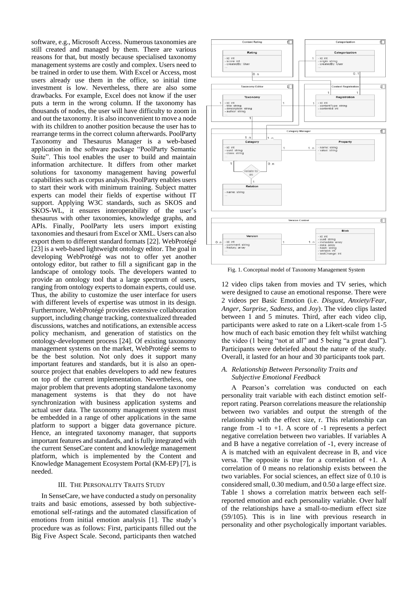software, e.g., Microsoft Access. Numerous taxonomies are still created and managed by them. There are various reasons for that, but mostly because specialised taxonomy management systems are costly and complex. Users need to be trained in order to use them. With Excel or Access, most users already use them in the office, so initial time investment is low. Nevertheless, there are also some drawbacks. For example, Excel does not know if the user puts a term in the wrong column. If the taxonomy has thousands of nodes, the user will have difficulty to zoom in and out the taxonomy. It is also inconvenient to move a node with its children to another position because the user has to rearrange terms in the correct column afterwards. PoolParty Taxonomy and Thesaurus Manager is a web-based application in the software package "PoolParty Semantic Suite". This tool enables the user to build and maintain information architecture. It differs from other market solutions for taxonomy management having powerful capabilities such as corpus analysis. PoolParty enables users to start their work with minimum training. Subject matter experts can model their fields of expertise without IT support. Applying W3C standards, such as SKOS and SKOS-WL, it ensures interoperability of the user's thesaurus with other taxonomies, knowledge graphs, and APIs. Finally, PoolParty lets users import existing taxonomies and thesauri from Excel or XML. Users can also export them to different standard formats [22]. WebProtégé [23] is a web-based lightweight ontology editor. The goal in developing WebProtégé was not to offer yet another ontology editor, but rather to fill a significant gap in the landscape of ontology tools. The developers wanted to provide an ontology tool that a large spectrum of users, ranging from ontology experts to domain experts, could use. Thus, the ability to customize the user interface for users with different levels of expertise was utmost in its design. Furthermore, WebProtégé provides extensive collaboration support, including change tracking, contextualized threaded discussions, watches and notifications, an extensible access policy mechanism, and generation of statistics on the ontology-development process [24]. Of existing taxonomy management systems on the market, WebProtégé seems to be the best solution. Not only does it support many important features and standards, but it is also an opensource project that enables developers to add new features on top of the current implementation. Nevertheless, one major problem that prevents adopting standalone taxonomy management systems is that they do not have synchronization with business application systems and actual user data. The taxonomy management system must be embedded in a range of other applications in the same platform to support a bigger data governance picture. Hence, an integrated taxonomy manager, that supports important features and standards, and is fully integrated with the current SenseCare content and knowledge management platform, which is implemented by the Content and Knowledge Management Ecosystem Portal (KM-EP) [7], is needed.

#### III. THE PERSONALITY TRAITS STUDY

In SenseCare, we have conducted a study on personality traits and basic emotions, assessed by both subjectiveemotional self-ratings and the automated classification of emotions from initial emotion analysis [1]. The study's procedure was as follows: First, participants filled out the Big Five Aspect Scale. Second, participants then watched



Fig. 1. Conceptual model of Taxonomy Management System

12 video clips taken from movies and TV series, which were designed to cause an emotional response. There were 2 videos per Basic Emotion (i.e. *Disgust*, *Anxiety/Fear*, *Anger*, *Surprise*, *Sadness*, and *Joy*). The video clips lasted between 1 and 5 minutes. Third, after each video clip, participants were asked to rate on a Likert-scale from 1-5 how much of each basic emotion they felt whilst watching the video (1 being "not at all" and 5 being "a great deal"). Participants were debriefed about the nature of the study. Overall, it lasted for an hour and 30 participants took part.

# *A. Relationship Between Personality Traits and Subjective Emotional Feedback*

A Pearson's correlation was conducted on each personality trait variable with each distinct emotion selfreport rating. Pearson correlations measure the relationship between two variables and output the strength of the relationship with the effect size, r. This relationship can range from -1 to +1. A score of -1 represents a perfect negative correlation between two variables. If variables A and B have a negative correlation of -1, every increase of A is matched with an equivalent decrease in B, and vice versa. The opposite is true for a correlation of +1. A correlation of 0 means no relationship exists between the two variables. For social sciences, an effect size of 0.10 is considered small, 0.30 medium, and 0.50 a large effect size. Table 1 shows a correlation matrix between each selfreported emotion and each personality variable. Over half of the relationships have a small-to-medium effect size (59/105). This is in line with previous research in personality and other psychologically important variables.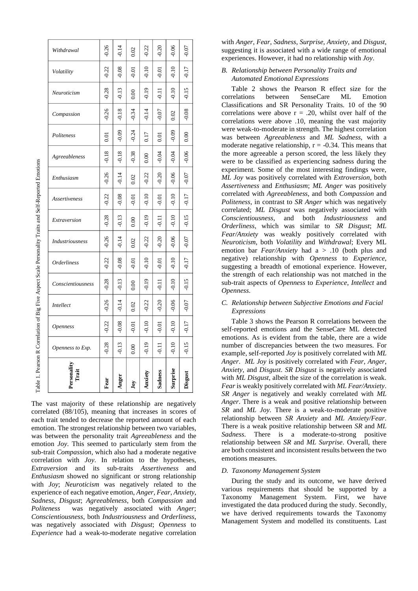| Personality    | Openness to Exp. | <i><b>Openness</b></i> | <b>Intellect</b> | Conscientiousness | <i><b>Orderliness</b></i> | Industriousness | Extraversion | Assertiveness    | Enthusiasm | Agreeableness | Politeness | Compassion | Neuroticism | Volatility | Withdrawal |
|----------------|------------------|------------------------|------------------|-------------------|---------------------------|-----------------|--------------|------------------|------------|---------------|------------|------------|-------------|------------|------------|
| Fear           | $-0.28$          | 0.22                   | $-0.26$          | $-0.28$           | $-0.22$                   | 0.26            | $-0.28$      | $-0.22$          | $-0.26$    | 0.18          | 0.01       | $-0.26$    | 0.28        | $-0.22$    |            |
| Anger          | $-0.13$          | $-0.08$                | $-0.14$          | $-0.13$           | 0.08                      | 0.14            | $-0.13$      | 0.08             | $-0.14$    | $-0.18$       | $-0.09$    | $-0.18$    | $-0.13$     | $-0.08$    |            |
| Joy            | 0.00             | $-0.01$                | 0.02             | 0.00              | $-0.01$                   | 0.02            | 0.00         | $\overline{0}$ . | 0.02       | $-0.38$       | $-0.24$    | $-0.34$    | 0.00        | $-0.01$    |            |
| Anxiety        | $-0.19$          | $-0.10$                | 0.22             | $-0.19$           | $-0.10$                   | 0.22            | $-0.19$      | $-0.10$          | $-0.22$    | 0.00          | 0.17       | $-0.14$    | $-0.19$     | $-0.10$    |            |
| <b>Sadness</b> | $-0.11$          | $-0.01$                | 0.20             | $\frac{11}{2}$    | $-0.01$                   | 0.20            | $-0.11$      | $-0.01$          | $-0.20$    | $-0.04$       | 0.01       | $-0.07$    | $-0.11$     | $-0.01$    |            |
| Surprise       | $-0.10$          | $-0.10$                | $-0.06$          | $-0.10$           | $-0.10$                   | 0.06            | $-0.10$      | $-0.10$          | 0.06       | $-0.04$       | $-0.09$    | 0.02       | $-0.10$     | $-0.10$    |            |
| Disgus         | $-0.15$          | $-0.17$                | $-0.07$          | $-0.15$           | $-0.17$                   | $-0.07$         | $-0.15$      | $-0.17$          | $-0.07$    | $-0.06$       | 0.00       | $-0.08$    | $-0.15$     | $-0.17$    |            |

The vast majority of these relationship are negatively correlated (88/105), meaning that increases in scores of each trait tended to decrease the reported amount of each emotion. The strongest relationship between two variables, was between the personality trait *Agreeableness* and the emotion *Joy*. This seemed to particularly stem from the sub-trait *Compassion*, which also had a moderate negative correlation with *Joy*. In relation to the hypotheses, *Extraversion* and its sub-traits *Assertiveness* and *Enthusiasm* showed no significant or strong relationship with *Joy*; *Neuroticism* was negatively related to the experience of each negative emotion, *Anger*, *Fear*, *Anxiety*, *Sadness*, *Disgust*; *Agreeableness*, both *Compassion* and *Politeness* was negatively associated with *Anger*; *Conscientiousness*, both *Industriousness* and *Orderliness*, was negatively associated with *Disgust*; *Openness* to *Experience* had a weak-to-moderate negative correlation

with *Anger*, *Fear*, *Sadness*, *Surprise*, *Anxiety*, and *Disgust*, suggesting it is associated with a wide range of emotional experiences. However, it had no relationship with *Joy*.

# *B. Relationship between Personality Traits and Automated Emotional Expressions*

Table 2 shows the Pearson R effect size for the correlations between SenseCare ML Emotion Classifications and SR Personality Traits. 10 of the 90 correlations were above  $r = .20$ , whilst over half of the correlations were above .10, meaning the vast majority were weak-to-moderate in strength. The highest correlation was between *Agreeableness* and *ML Sadness*, with a moderate negative relationship,  $r = -0.34$ . This means that the more agreeable a person scored, the less likely they were to be classified as experiencing sadness during the experiment. Some of the most interesting findings were, *ML Joy* was positively correlated with *Extroversion*, both *Assertiveness* and *Enthusiasm*; *ML Anger* was positively correlated with *Agreeableness*, and both *Compassion* and *Politeness*, in contrast to *SR Anger* which was negatively correlated; *ML Disgust* was negatively associated with *Conscientiousness*, and both *Industriousness* and *Orderliness*, which was similar to *SR Disgust*; *ML Fear/Anxiety* was weakly positively correlated with *Neuroticism*, both *Volatility* and *Withdrawal*; Every ML emotion bar *Fear/Anxiety* had a > .10 (both plus and negative) relationship with *Openness* to *Experience*, suggesting a breadth of emotional experience. However, the strength of each relationship was not matched in the sub-trait aspects of *Openness* to *Experience*, *Intellect* and *Openness*.

# *C. Relationship between Subjective Emotions and Facial Expressions*

Table 3 shows the Pearson R correlations between the self-reported emotions and the SenseCare ML detected emotions. As is evident from the table, there are a wide number of discrepancies between the two measures. For example, self-reported *Joy* is positively correlated with *ML Anger*. *ML Joy* is positively correlated with *Fear*, *Anger*, *Anxiety*, and *Disgust*. *SR Disgust* is negatively associated with *ML Disgust*, albeit the size of the correlation is weak. *Fear* is weakly positively correlated with *ML Fear/Anxiety*. *SR Anger* is negatively and weakly correlated with *ML Anger*. There is a weak and positive relationship between *SR* and *ML Joy*. There is a weak-to-moderate positive relationship between *SR Anxiety* and *ML Anxiety/Fear*. There is a weak positive relationship between *SR* and *ML Sadness*. There is a moderate-to-strong positive relationship between *SR* and *ML Surprise*. Overall, there are both consistent and inconsistent results between the two emotions measures.

# *D. Taxonomy Management System*

During the study and its outcome, we have derived various requirements that should be supported by a Taxonomy Management System. First, we have investigated the data produced during the study. Secondly, we have derived requirements towards the Taxonomy Management System and modelled its constituents. Last

Table 1. Pearson R Correlation of Big Five Aspect Scale Personality Traits and Self-Reported Emotions Table 1. Pearson R Correlation of Big Five Aspect Scale Personality Traits and Self-Reported Emotions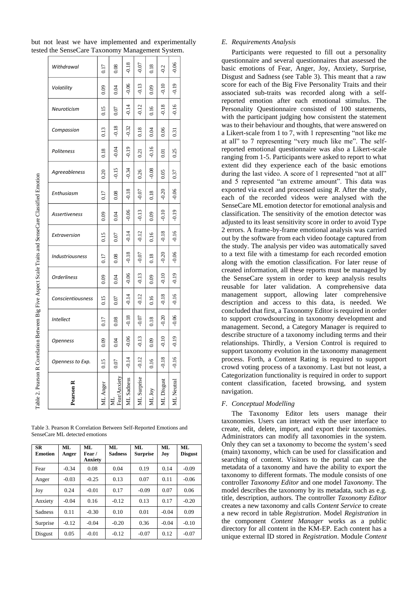| Withdrawal         | 0.17     | 0.08                  | $-0.18$       | $-0.07$           | 0.18    | $-0.2$     | $-0.06$           |
|--------------------|----------|-----------------------|---------------|-------------------|---------|------------|-------------------|
| Volatility         | 0.09     | 0.04                  | $-0.06$       | $-0.13$           | 0.09    | $-0.10$    | $-0.19$           |
| Neuroticism        | 0.15     | 0.07                  | $-0.14$       | $-0.12$           | 0.16    | $-0.18$    | $-0.16$           |
| Compassion         | 0.13     | $-0.18$               | $-0.32$       | 0.18              | 0.04    | 0.06       | $\overline{0.31}$ |
| Politeness         | 0.18     | $-0.04$               | $-0.19$       | $\overline{0.21}$ | $-0.16$ | 0.01       | 0.25              |
| Agreeableness      | 0.20     | $-0.15$               | $-0.34$       | 0.26              | $-0.08$ | 0.05       | 0.37              |
| Enthusiasm         | 0.17     | 0.08                  | $-0.18$       | $-0.07$           | 0.18    | $-0.20$    | $-0.06$           |
| Assertiveness      | 0.09     | 0.04                  | $-0.06$       | $-0.13$           | 0.09    | $-0.10$    | $-0.19$           |
| Extraversion       | 0.15     | 0.07                  | $-0.14$       | 0.12              | 0.16    | $-0.18$    | $-0.16$           |
| Industriousness    | 0.17     | 0.08                  | $-0.18$       | 0.07              | 0.18    | 0.20       | $-0.06$           |
| <b>Orderliness</b> | 0.09     | 0.04                  | $-0.06$       | 0.13              | 0.09    | $-0.10$    | $-0.19$           |
| Conscientiousness  | 0.15     | 0.07                  | $-0.14$       | $-0.12$           | 0.16    | $-0.18$    | $-0.16$           |
| Intellect          | 0.17     | 0.08                  | $-0.18$       | $-0.07$           | 0.18    | $-0.20$    | $-0.06$           |
| Openness           | 0.09     | 6.04                  | $-0.06$       | $-0.13$           | 0.09    | $-0.10$    | $-0.19$           |
| Openness to Exp.   | 0.15     | 0.07                  | $-0.14$       | $-0.12$           | 0.16    | $-0.18$    | $-0.16$           |
| Pearson            | ML Anger | Anxiety<br>Fear/<br>ă | Sadness<br>ЯĒ | ML Surprise       | NL Joy  | ML Disgust | ML<br>Neutra      |

but not least we have implemented and experimentally tested the SenseCare Taxonomy Management System.

Table 3. Pearson R Correlation Between Self-Reported Emotions and SenseCare ML detected emotions

| <b>SR</b><br><b>Emotion</b> | ML<br>Anger | ML.<br>Fear /<br>Anxiety | ML<br><b>Sadness</b> | ML<br><b>Surprise</b> | ML<br>Joy | ML<br><b>Disgust</b> |
|-----------------------------|-------------|--------------------------|----------------------|-----------------------|-----------|----------------------|
| Fear                        | $-0.34$     | 0.08                     | 0.04                 | 0.19                  | 0.14      | $-0.09$              |
| Anger                       | $-0.03$     | $-0.25$                  | 0.13                 | 0.07                  | 0.11      | $-0.06$              |
| Joy                         | 0.24        | $-0.01$                  | 0.17                 | $-0.09$               | 0.07      | 0.06                 |
| Anxiety                     | $-0.04$     | 0.16                     | $-0.12$              | 0.13                  | 0.17      | $-0.20$              |
| <b>Sadness</b>              | 0.11        | $-0.30$                  | 0.10                 | 0.01                  | $-0.04$   | 0.09                 |
| Surprise                    | $-0.12$     | $-0.04$                  | $-0.20$              | 0.36                  | $-0.04$   | $-0.10$              |
| Disgust                     | 0.05        | $-0.01$                  | $-0.12$              | $-0.07$               | 0.12      | $-0.07$              |

#### *E. Requirements Analysis*

Participants were requested to fill out a personality questionnaire and several questionnaires that assessed the basic emotions of Fear, Anger, Joy, Anxiety, Surprise, Disgust and Sadness (see Table 3). This meant that a raw score for each of the Big Five Personality Traits and their associated sub-traits was recorded along with a selfreported emotion after each emotional stimulus. The Personality Questionnaire consisted of 100 statements, with the participant judging how consistent the statement was to their behaviour and thoughts, that were answered on a Likert-scale from 1 to 7, with 1 representing "not like me at all" to 7 representing "very much like me". The selfreported emotional questionnaire was also a Likert-scale ranging from 1-5. Participants were asked to report to what extent did they experience each of the basic emotions during the last video. A score of 1 represented "not at all" and 5 represented "an extreme amount". This data was exported via excel and processed using *R*. After the study, each of the recorded videos were analysed with the SenseCare ML emotion detector for emotional analysis and classification. The sensitivity of the emotion detector was adjusted to its least sensitivity score in order to avoid Type 2 errors. A frame-by-frame emotional analysis was carried out by the software from each video footage captured from the study. The analysis per video was automatically saved to a text file with a timestamp for each recorded emotion along with the emotion classification. For later reuse of created information, all these reports must be managed by the SenseCare system in order to keep analysis results reusable for later validation. A comprehensive data management support, allowing later comprehensive description and access to this data, is needed. We concluded that first, a Taxonomy Editor is required in order to support crowdsourcing in taxonomy development and management. Second, a Category Manager is required to describe structure of a taxonomy including terms and their relationships. Thirdly, a Version Control is required to support taxonomy evolution in the taxonomy management process. Forth, a Content Rating is required to support crowd voting process of a taxonomy. Last but not least, a Categorization functionality is required in order to support content classification, faceted browsing, and system navigation.

#### *F. Conceptual Modelling*

The Taxonomy Editor lets users manage their taxonomies. Users can interact with the user interface to create, edit, delete, import, and export their taxonomies. Administrators can modify all taxonomies in the system. Only they can set a taxonomy to become the system's seed (main) taxonomy, which can be used for classification and searching of content. Visitors to the portal can see the metadata of a taxonomy and have the ability to export the taxonomy to different formats. The module consists of one controller *Taxonomy Editor* and one model *Taxonomy*. The model describes the taxonomy by its metadata, such as e.g. title, description, authors. The controller *Taxonomy Editor* creates a new taxonomy and calls *Content Service* to create a new record in table *Registration*. Model *Registration* in the component *Content Manager* works as a public directory for all content in the KM-EP. Each content has a unique external ID stored in *Registration*. Module *Content*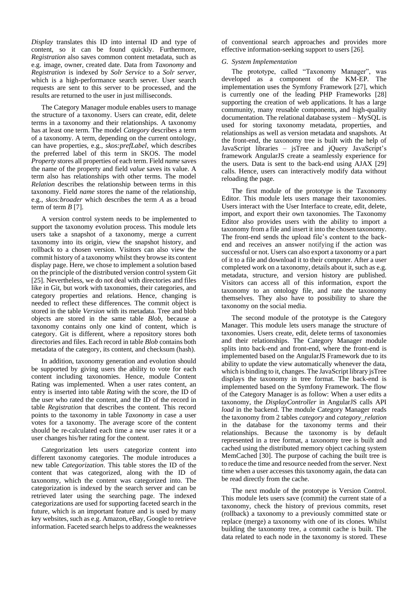*Display* translates this ID into internal ID and type of content, so it can be found quickly. Furthermore, *Registration* also saves common content metadata, such as e.g. image, owner, created date. Data from *Taxonomy* and *Registration* is indexed by *Solr Service* to a *Solr server*, which is a high-performance search server. User search requests are sent to this server to be processed, and the results are returned to the user in just milliseconds.

The Category Manager module enables users to manage the structure of a taxonomy. Users can create, edit, delete terms in a taxonomy and their relationships. A taxonomy has at least one term. The model *Category* describes a term of a taxonomy. A term, depending on the current ontology, can have properties, e.g., *skos:prefLabel*, which describes the preferred label of this term in SKOS. The model *Property* stores all properties of each term. Field *name* saves the name of the property and field *value* saves its value. A term also has relationships with other terms. The model *Relation* describes the relationship between terms in this taxonomy. Field *name* stores the name of the relationship, e.g., *skos:broader* which describes the term *A* as a broad term of term *B* [7].

A version control system needs to be implemented to support the taxonomy evolution process. This module lets users take a snapshot of a taxonomy, merge a current taxonomy into its origin, view the snapshot history, and rollback to a chosen version. Visitors can also view the commit history of a taxonomy whilst they browse its content display page. Here, we chose to implement a solution based on the principle of the distributed version control system Git [25]. Nevertheless, we do not deal with directories and files like in Git, but work with taxonomies, their categories, and category properties and relations. Hence, changing is needed to reflect these differences. The commit object is stored in the table *Version* with its metadata. Tree and blob objects are stored in the same table *Blob,* because a taxonomy contains only one kind of content, which is category. Git is different, where a repository stores both directories and files. Each record in table *Blob* contains both metadata of the category, its content, and checksum (hash).

In addition, taxonomy generation and evolution should be supported by giving users the ability to vote for each content including taxonomies. Hence, module Content Rating was implemented. When a user rates content, an entry is inserted into table *Rating* with the score, the ID of the user who rated the content, and the ID of the record in table *Registration* that describes the content. This record points to the taxonomy in table *Taxonomy* in case a user votes for a taxonomy. The average score of the content should be re-calculated each time a new user rates it or a user changes his/her rating for the content.

Categorization lets users categorize content into different taxonomy categories. The module introduces a new table *Categorization*. This table stores the ID of the content that was categorized, along with the ID of taxonomy, which the content was categorized into. The categorization is indexed by the search server and can be retrieved later using the searching page. The indexed categorizations are used for supporting faceted search in the future, which is an important feature and is used by many key websites, such as e.g. Amazon, eBay, Google to retrieve information. Faceted search helps to address the weaknesses

of conventional search approaches and provides more effective information-seeking support to users [26].

# *G. System Implementation*

The prototype, called "Taxonomy Manager", was developed as a component of the KM-EP. The implementation uses the Symfony Framework [27], which is currently one of the leading PHP Frameworks [28] supporting the creation of web applications. It has a large community, many reusable components, and high-quality documentation. The relational database system – MySQL is used for storing taxonomy metadata, properties, and relationships as well as version metadata and snapshots. At the front-end, the taxonomy tree is built with the help of JavaScript libraries – jsTree and jQuery JavaScript's framework AngularJS create a seamlessly experience for the users. Data is sent to the back-end using AJAX [29] calls. Hence, users can interactively modify data without reloading the page.

The first module of the prototype is the Taxonomy Editor. This module lets users manage their taxonomies. Users interact with the User Interface to create, edit, delete, import, and export their own taxonomies. The Taxonomy Editor also provides users with the ability to import a taxonomy from a file and insert it into the chosen taxonomy. The front-end sends the upload file's content to the backend and receives an answer notifying if the action was successful or not. Users can also export a taxonomy or a part of it to a file and download it to their computer. After a user completed work on a taxonomy, details about it, such as e.g. metadata, structure, and version history are published. Visitors can access all of this information, export the taxonomy to an ontology file, and rate the taxonomy themselves. They also have to possibility to share the taxonomy on the social media.

The second module of the prototype is the Category Manager. This module lets users manage the structure of taxonomies. Users create, edit, delete terms of taxonomies and their relationships. The Category Manager module splits into back-end and front-end, where the front-end is implemented based on the AngularJS Framework due to its ability to update the view automatically whenever the data, which is binding to it, changes. The JavaScript library jsTree displays the taxonomy in tree format. The back-end is implemented based on the Symfony Framework. The flow of the Category Manager is as follow: When a user edits a taxonomy, the *DisplayController* in AngularJS calls API *load* in the backend. The module Category Manager reads the taxonomy from 2 tables *category* and *category\_relation* in the database for the taxonomy terms and their relationships. Because the taxonomy is by default represented in a tree format, a taxonomy tree is built and cached using the distributed memory object caching system MemCached [30]. The purpose of caching the built tree is to reduce the time and resource needed from the server. Next time when a user accesses this taxonomy again, the data can be read directly from the cache.

The next module of the prototype is Version Control. This module lets users save (commit) the current state of a taxonomy, check the history of previous commits, reset (rollback) a taxonomy to a previously committed state or replace (merge) a taxonomy with one of its clones. Whilst building the taxonomy tree, a commit cache is built. The data related to each node in the taxonomy is stored. These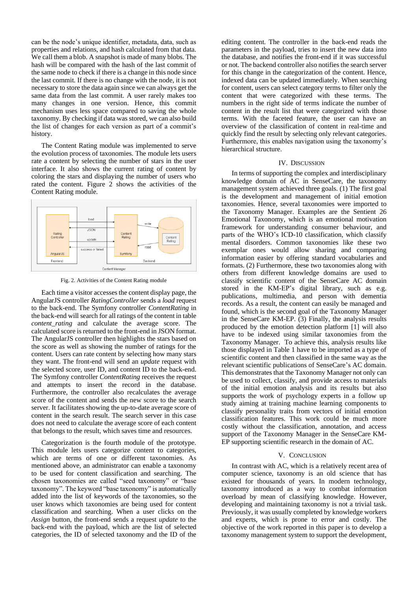can be the node's unique identifier, metadata, data, such as properties and relations, and hash calculated from that data. We call them a blob. A snapshot is made of many blobs. The hash will be compared with the hash of the last commit of the same node to check if there is a change in this node since the last commit. If there is no change with the node, it is not necessary to store the data again since we can always get the same data from the last commit. A user rarely makes too many changes in one version. Hence, this commit mechanism uses less space compared to saving the whole taxonomy. By checking if data was stored, we can also build the list of changes for each version as part of a commit's history.

The Content Rating module was implemented to serve the evolution process of taxonomies. The module lets users rate a content by selecting the number of stars in the user interface. It also shows the current rating of content by coloring the stars and displaying the number of users who rated the content. Figure 2 shows the activities of the Content Rating module.



Fig. 2. Activities of the Content Rating module

Each time a visitor accesses the content display page, the AngularJS controller *RatingController* sends a *load* request to the back-end. The Symfony controller *ContentRating* in the back-end will search for all ratings of the content in table *content\_rating* and calculate the average score. The calculated score is returned to the front-end in JSON format. The AngularJS controller then highlights the stars based on the score as well as showing the number of ratings for the content. Users can rate content by selecting how many stars they want. The front-end will send an *update* request with the selected score, user ID, and content ID to the back-end. The Symfony controller *ContentRating* receives the request and attempts to insert the record in the database. Furthermore, the controller also recalculates the average score of the content and sends the new score to the search server. It facilitates showing the up-to-date average score of content in the search result. The search server in this case does not need to calculate the average score of each content that belongs to the result, which saves time and resources.

Categorization is the fourth module of the prototype. This module lets users categorize content to categories, which are terms of one or different taxonomies. As mentioned above, an administrator can enable a taxonomy to be used for content classification and searching. The chosen taxonomies are called "seed taxonomy" or "base taxonomy". The keyword "base taxonomy" is automatically added into the list of keywords of the taxonomies, so the user knows which taxonomies are being used for content classification and searching. When a user clicks on the *Assign* button, the front-end sends a request *update* to the back-end with the payload, which are the list of selected categories, the ID of selected taxonomy and the ID of the

editing content. The controller in the back-end reads the parameters in the payload, tries to insert the new data into the database, and notifies the front-end if it was successful or not. The backend controller also notifies the search server for this change in the categorization of the content. Hence, indexed data can be updated immediately. When searching for content, users can select category terms to filter only the content that were categorized with these terms. The numbers in the right side of terms indicate the number of content in the result list that were categorized with those terms. With the faceted feature, the user can have an overview of the classification of content in real-time and quickly find the result by selecting only relevant categories. Furthermore, this enables navigation using the taxonomy's hierarchical structure.

## IV. DISCUSSION

In terms of supporting the complex and interdisciplinary knowledge domain of AC in SenseCare, the taxonomy management system achieved three goals. (1) The first goal is the development and management of initial emotion taxonomies. Hence, several taxonomies were imported to the Taxonomy Manager. Examples are the Sentient 26 Emotional Taxonomy, which is an emotional motivation framework for understanding consumer behaviour, and parts of the WHO's ICD-10 classification, which classify mental disorders. Common taxonomies like these two exemplar ones would allow sharing and comparing information easier by offering standard vocabularies and formats. (2) Furthermore, these two taxonomies along with others from different knowledge domains are used to classify scientific content of the SenseCare AC domain stored in the KM-EP's digital library, such as e.g. publications, multimedia, and person with dementia records. As a result, the content can easily be managed and found, which is the second goal of the Taxonomy Manager in the SenseCare KM-EP. (3) Finally, the analysis results produced by the emotion detection platform [1] will also have to be indexed using similar taxonomies from the Taxonomy Manager. To achieve this, analysis results like those displayed in Table 1 have to be imported as a type of scientific content and then classified in the same way as the relevant scientific publications of SenseCare's AC domain. This demonstrates that the Taxonomy Manager not only can be used to collect, classify, and provide access to materials of the initial emotion analysis and its results but also supports the work of psychology experts in a follow up study aiming at training machine learning components to classify personality traits from vectors of initial emotion classification features. This work could be much more costly without the classification, annotation, and access support of the Taxonomy Manager in the SenseCare KM-EP supporting scientific research in the domain of AC.

## V. CONCLUSION

In contrast with AC, which is a relatively recent area of computer science, taxonomy is an old science that has existed for thousands of years. In modern technology, taxonomy introduced as a way to combat information overload by mean of classifying knowledge. However, developing and maintaining taxonomy is not a trivial task. Previously, it was usually completed by knowledge workers and experts, which is prone to error and costly. The objective of the work reported in this paper is to develop a taxonomy management system to support the development,